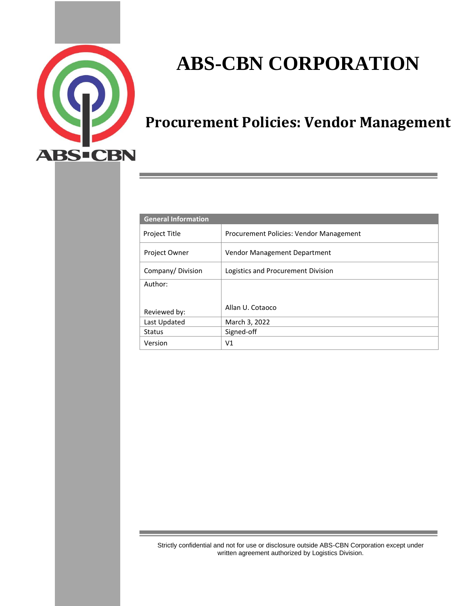

# **ABS-CBN CORPORATION**

# **Procurement Policies: Vendor Management**

| <b>General Information</b> |                                         |  |
|----------------------------|-----------------------------------------|--|
| Project Title              | Procurement Policies: Vendor Management |  |
| <b>Project Owner</b>       | Vendor Management Department            |  |
| Company/Division           | Logistics and Procurement Division      |  |
| Author:                    |                                         |  |
|                            |                                         |  |
| Reviewed by:               | Allan U. Cotaoco                        |  |
| Last Updated               | March 3, 2022                           |  |
| <b>Status</b>              | Signed-off                              |  |
| Version                    | V1                                      |  |

Strictly confidential and not for use or disclosure outside ABS-CBN Corporation except under written agreement authorized by Logistics Division.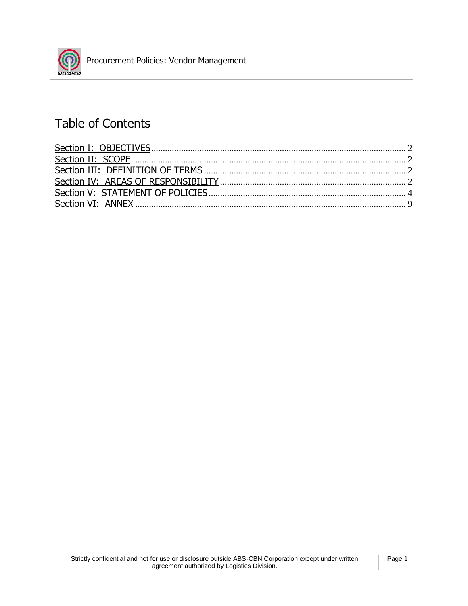

## Table of Contents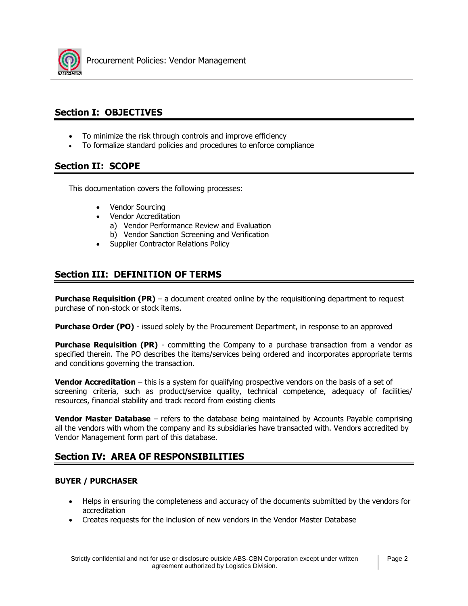

## **Section I: OBJECTIVES**

- To minimize the risk through controls and improve efficiency
- To formalize standard policies and procedures to enforce compliance

## **Section II: SCOPE**

This documentation covers the following processes:

- Vendor Sourcing
- Vendor Accreditation
	- a) Vendor Performance Review and Evaluation
	- b) Vendor Sanction Screening and Verification
- Supplier Contractor Relations Policy

## **Section III: DEFINITION OF TERMS**

**Purchase Requisition (PR)** – a document created online by the requisitioning department to request purchase of non-stock or stock items.

**Purchase Order (PO)** - issued solely by the Procurement Department, in response to an approved

**Purchase Requisition (PR)** - committing the Company to a purchase transaction from a vendor as specified therein. The PO describes the items/services being ordered and incorporates appropriate terms and conditions governing the transaction.

**Vendor Accreditation** – this is a system for qualifying prospective vendors on the basis of a set of screening criteria, such as product/service quality, technical competence, adequacy of facilities/ resources, financial stability and track record from existing clients

**Vendor Master Database** – refers to the database being maintained by Accounts Payable comprising all the vendors with whom the company and its subsidiaries have transacted with. Vendors accredited by Vendor Management form part of this database.

## **Section IV: AREA OF RESPONSIBILITIES**

## **BUYER / PURCHASER**

- Helps in ensuring the completeness and accuracy of the documents submitted by the vendors for accreditation
- Creates requests for the inclusion of new vendors in the Vendor Master Database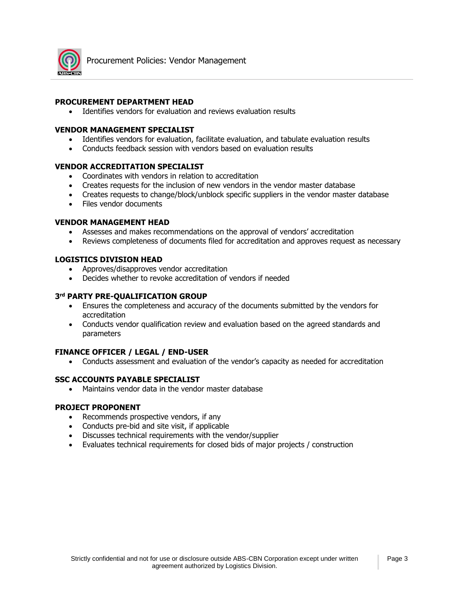

## **PROCUREMENT DEPARTMENT HEAD**

• Identifies vendors for evaluation and reviews evaluation results

### **VENDOR MANAGEMENT SPECIALIST**

- Identifies vendors for evaluation, facilitate evaluation, and tabulate evaluation results
- Conducts feedback session with vendors based on evaluation results

## **VENDOR ACCREDITATION SPECIALIST**

- Coordinates with vendors in relation to accreditation
- Creates requests for the inclusion of new vendors in the vendor master database
- Creates requests to change/block/unblock specific suppliers in the vendor master database
- Files vendor documents

### **VENDOR MANAGEMENT HEAD**

- Assesses and makes recommendations on the approval of vendors' accreditation
- Reviews completeness of documents filed for accreditation and approves request as necessary

## **LOGISTICS DIVISION HEAD**

- Approves/disapproves vendor accreditation
- Decides whether to revoke accreditation of vendors if needed

## **3 rd PARTY PRE-QUALIFICATION GROUP**

- Ensures the completeness and accuracy of the documents submitted by the vendors for accreditation
- Conducts vendor qualification review and evaluation based on the agreed standards and parameters

### **FINANCE OFFICER / LEGAL / END-USER**

• Conducts assessment and evaluation of the vendor's capacity as needed for accreditation

## **SSC ACCOUNTS PAYABLE SPECIALIST**

• Maintains vendor data in the vendor master database

### **PROJECT PROPONENT**

- Recommends prospective vendors, if any
- Conducts pre-bid and site visit, if applicable
- Discusses technical requirements with the vendor/supplier
- Evaluates technical requirements for closed bids of major projects / construction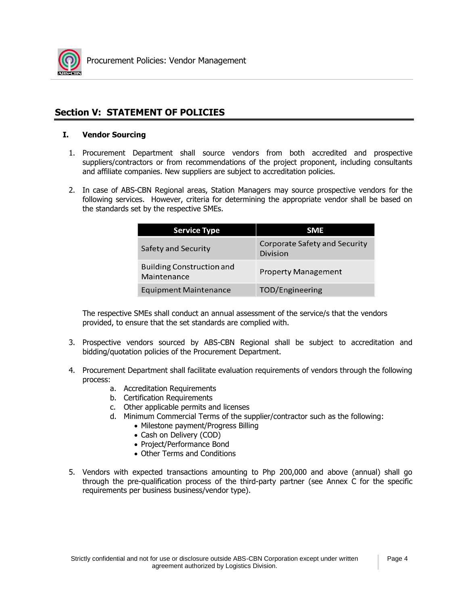

## **Section V: STATEMENT OF POLICIES**

## **I. Vendor Sourcing**

- 1. Procurement Department shall source vendors from both accredited and prospective suppliers/contractors or from recommendations of the project proponent, including consultants and affiliate companies. New suppliers are subject to accreditation policies.
- 2. In case of ABS-CBN Regional areas, Station Managers may source prospective vendors for the following services. However, criteria for determining the appropriate vendor shall be based on the standards set by the respective SMEs.

| <b>Service Type</b>                             | <b>SME</b>                                              |
|-------------------------------------------------|---------------------------------------------------------|
| Safety and Security                             | <b>Corporate Safety and Security</b><br><b>Division</b> |
| <b>Building Construction and</b><br>Maintenance | <b>Property Management</b>                              |
| <b>Equipment Maintenance</b>                    | <b>TOD/Engineering</b>                                  |

The respective SMEs shall conduct an annual assessment of the service/s that the vendors provided, to ensure that the set standards are complied with.

- 3. Prospective vendors sourced by ABS-CBN Regional shall be subject to accreditation and bidding/quotation policies of the Procurement Department.
- 4. Procurement Department shall facilitate evaluation requirements of vendors through the following process:
	- a. Accreditation Requirements
	- b. Certification Requirements
	- c. Other applicable permits and licenses
	- d. Minimum Commercial Terms of the supplier/contractor such as the following:
		- Milestone payment/Progress Billing
		- Cash on Delivery (COD)
		- Project/Performance Bond
		- Other Terms and Conditions
- 5. Vendors with expected transactions amounting to Php 200,000 and above (annual) shall go through the pre-qualification process of the third-party partner (see Annex C for the specific requirements per business business/vendor type).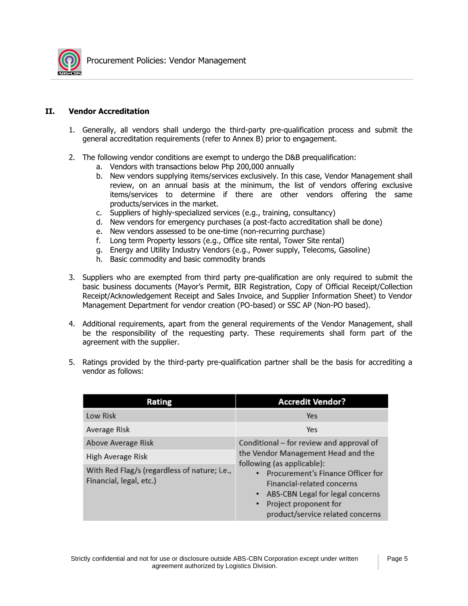

## **II. Vendor Accreditation**

- 1. Generally, all vendors shall undergo the third-party pre-qualification process and submit the general accreditation requirements (refer to Annex B) prior to engagement.
- 2. The following vendor conditions are exempt to undergo the D&B prequalification:
	- a. Vendors with transactions below Php 200,000 annually
	- b. New vendors supplying items/services exclusively. In this case, Vendor Management shall review, on an annual basis at the minimum, the list of vendors offering exclusive items/services to determine if there are other vendors offering the same products/services in the market.
	- c. Suppliers of highly-specialized services (e.g., training, consultancy)
	- d. New vendors for emergency purchases (a post-facto accreditation shall be done)
	- e. New vendors assessed to be one-time (non-recurring purchase)
	- f. Long term Property lessors (e.g., Office site rental, Tower Site rental)
	- g. Energy and Utility Industry Vendors (e.g., Power supply, Telecoms, Gasoline)
	- h. Basic commodity and basic commodity brands
- 3. Suppliers who are exempted from third party pre-qualification are only required to submit the basic business documents (Mayor's Permit, BIR Registration, Copy of Official Receipt/Collection Receipt/Acknowledgement Receipt and Sales Invoice, and Supplier Information Sheet) to Vendor Management Department for vendor creation (PO-based) or SSC AP (Non-PO based).
- 4. Additional requirements, apart from the general requirements of the Vendor Management, shall be the responsibility of the requesting party. These requirements shall form part of the agreement with the supplier.
- 5. Ratings provided by the third-party pre-qualification partner shall be the basis for accrediting a vendor as follows:

| Rating                                                                  | <b>Accredit Vendor?</b>                                                                                                                                                                                                                              |
|-------------------------------------------------------------------------|------------------------------------------------------------------------------------------------------------------------------------------------------------------------------------------------------------------------------------------------------|
| Low Risk                                                                | Yes                                                                                                                                                                                                                                                  |
| Average Risk                                                            | Yes                                                                                                                                                                                                                                                  |
| Above Average Risk                                                      | Conditional - for review and approval of                                                                                                                                                                                                             |
| High Average Risk                                                       | the Vendor Management Head and the<br>following (as applicable):<br><b>Procurement's Finance Officer for</b><br><b>Financial-related concerns</b><br>• ABS-CBN Legal for legal concerns<br>Project proponent for<br>product/service related concerns |
| With Red Flag/s (regardless of nature; i.e.,<br>Financial, legal, etc.) |                                                                                                                                                                                                                                                      |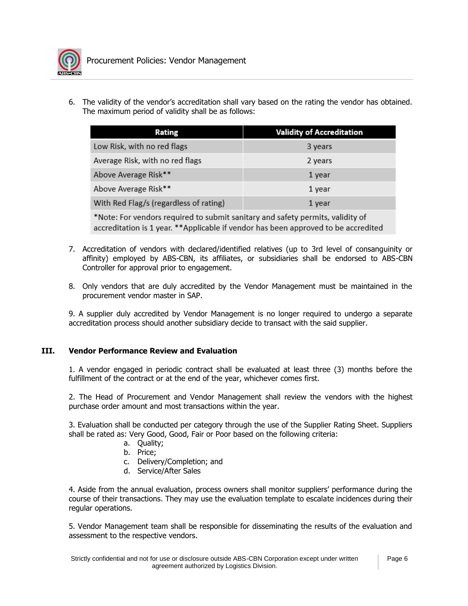

6. The validity of the vendor's accreditation shall vary based on the rating the vendor has obtained. The maximum period of validity shall be as follows:

| Rating                                 | <b>Validity of Accreditation</b> |
|----------------------------------------|----------------------------------|
| Low Risk, with no red flags            | 3 years                          |
| Average Risk, with no red flags        | 2 years                          |
| Above Average Risk**                   | 1 year                           |
| Above Average Risk**                   | 1 year                           |
| With Red Flag/s (regardless of rating) | 1 year                           |

\*Note: For vendors required to submit sanitary and safety permits, validity of accreditation is 1 year. \*\*Applicable if vendor has been approved to be accredited

- 7. Accreditation of vendors with declared/identified relatives (up to 3rd level of consanguinity or affinity) employed by ABS-CBN, its affiliates, or subsidiaries shall be endorsed to ABS-CBN Controller for approval prior to engagement.
- 8. Only vendors that are duly accredited by the Vendor Management must be maintained in the procurement vendor master in SAP.

9. A supplier duly accredited by Vendor Management is no longer required to undergo a separate accreditation process should another subsidiary decide to transact with the said supplier.

## **III. Vendor Performance Review and Evaluation**

1. A vendor engaged in periodic contract shall be evaluated at least three (3) months before the fulfillment of the contract or at the end of the year, whichever comes first.

2. The Head of Procurement and Vendor Management shall review the vendors with the highest purchase order amount and most transactions within the year.

3. Evaluation shall be conducted per category through the use of the Supplier Rating Sheet. Suppliers shall be rated as: Very Good, Good, Fair or Poor based on the following criteria:

- a. Quality;
- b. Price;
- c. Delivery/Completion; and
- d. Service/After Sales

4. Aside from the annual evaluation, process owners shall monitor suppliers' performance during the course of their transactions. They may use the evaluation template to escalate incidences during their regular operations.

5. Vendor Management team shall be responsible for disseminating the results of the evaluation and assessment to the respective vendors.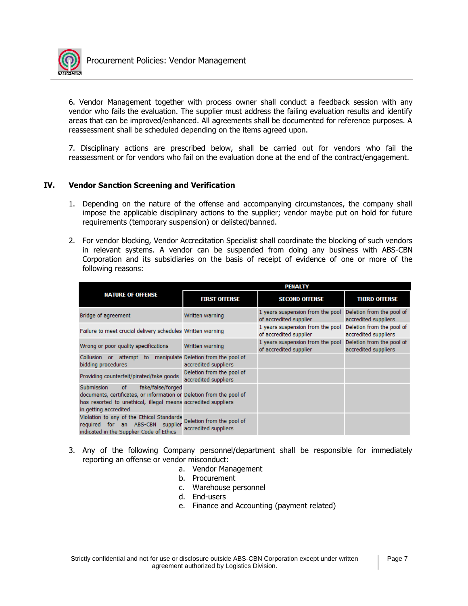

6. Vendor Management together with process owner shall conduct a feedback session with any vendor who fails the evaluation. The supplier must address the failing evaluation results and identify areas that can be improved/enhanced. All agreements shall be documented for reference purposes. A reassessment shall be scheduled depending on the items agreed upon.

7. Disciplinary actions are prescribed below, shall be carried out for vendors who fail the reassessment or for vendors who fail on the evaluation done at the end of the contract/engagement.

## **IV. Vendor Sanction Screening and Verification**

- 1. Depending on the nature of the offense and accompanying circumstances, the company shall impose the applicable disciplinary actions to the supplier; vendor maybe put on hold for future requirements (temporary suspension) or delisted/banned.
- 2. For vendor blocking, Vendor Accreditation Specialist shall coordinate the blocking of such vendors in relevant systems. A vendor can be suspended from doing any business with ABS-CBN Corporation and its subsidiaries on the basis of receipt of evidence of one or more of the following reasons:

|                                                                                                                                                                                                         | <b>PENALTY</b>                                               |                                                            |                                                   |
|---------------------------------------------------------------------------------------------------------------------------------------------------------------------------------------------------------|--------------------------------------------------------------|------------------------------------------------------------|---------------------------------------------------|
| <b>NATURE OF OFFENSE</b>                                                                                                                                                                                | <b>FIRST OFFENSE</b>                                         | <b>SECOND OFFENSE</b>                                      | <b>THIRD OFFENSE</b>                              |
| Bridge of agreement                                                                                                                                                                                     | Written warning                                              | 1 years suspension from the pool<br>of accredited supplier | Deletion from the pool of<br>accredited suppliers |
| Failure to meet crucial delivery schedules Written warning                                                                                                                                              |                                                              | 1 years suspension from the pool<br>of accredited supplier | Deletion from the pool of<br>accredited suppliers |
| Wrong or poor quality specifications                                                                                                                                                                    | Written warning                                              | 1 years suspension from the pool<br>of accredited supplier | Deletion from the pool of<br>accredited suppliers |
| Collusion<br>attempt to<br>or.<br>bidding procedures                                                                                                                                                    | manipulate Deletion from the pool of<br>accredited suppliers |                                                            |                                                   |
| Providing counterfeit/pirated/fake goods                                                                                                                                                                | Deletion from the pool of<br>accredited suppliers            |                                                            |                                                   |
| Submission<br>fake/false/forged<br>of<br>documents, certificates, or information or Deletion from the pool of<br>has resorted to unethical, illegal means accredited suppliers<br>in getting accredited |                                                              |                                                            |                                                   |
| Violation to any of the Ethical Standards<br>required for an ABS-CBN supplier<br>indicated in the Supplier Code of Ethics                                                                               | Deletion from the pool of<br>accredited suppliers            |                                                            |                                                   |

- 3. Any of the following Company personnel/department shall be responsible for immediately reporting an offense or vendor misconduct:
	- a. Vendor Management
	- b. Procurement
	- c. Warehouse personnel
	- d. End-users
	- e. Finance and Accounting (payment related)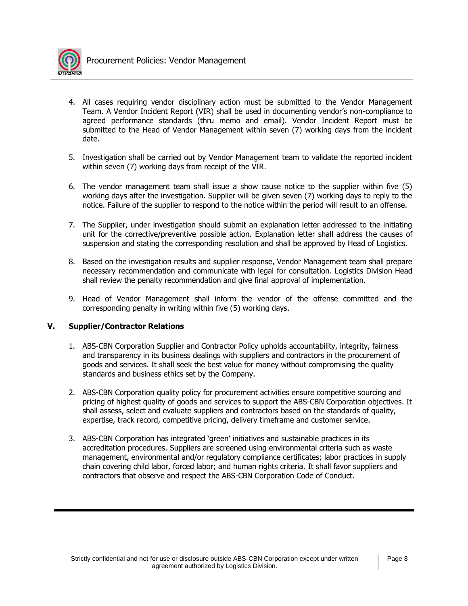

- 4. All cases requiring vendor disciplinary action must be submitted to the Vendor Management Team. A Vendor Incident Report (VIR) shall be used in documenting vendor's non-compliance to agreed performance standards (thru memo and email). Vendor Incident Report must be submitted to the Head of Vendor Management within seven (7) working days from the incident date.
- 5. Investigation shall be carried out by Vendor Management team to validate the reported incident within seven (7) working days from receipt of the VIR.
- 6. The vendor management team shall issue a show cause notice to the supplier within five (5) working days after the investigation. Supplier will be given seven (7) working days to reply to the notice. Failure of the supplier to respond to the notice within the period will result to an offense.
- 7. The Supplier, under investigation should submit an explanation letter addressed to the initiating unit for the corrective/preventive possible action. Explanation letter shall address the causes of suspension and stating the corresponding resolution and shall be approved by Head of Logistics.
- 8. Based on the investigation results and supplier response, Vendor Management team shall prepare necessary recommendation and communicate with legal for consultation. Logistics Division Head shall review the penalty recommendation and give final approval of implementation.
- 9. Head of Vendor Management shall inform the vendor of the offense committed and the corresponding penalty in writing within five (5) working days.

## **V. Supplier/Contractor Relations**

- 1. ABS-CBN Corporation Supplier and Contractor Policy upholds accountability, integrity, fairness and transparency in its business dealings with suppliers and contractors in the procurement of goods and services. It shall seek the best value for money without compromising the quality standards and business ethics set by the Company.
- 2. ABS-CBN Corporation quality policy for procurement activities ensure competitive sourcing and pricing of highest quality of goods and services to support the ABS-CBN Corporation objectives. It shall assess, select and evaluate suppliers and contractors based on the standards of quality, expertise, track record, competitive pricing, delivery timeframe and customer service.
- 3. ABS-CBN Corporation has integrated 'green' initiatives and sustainable practices in its accreditation procedures. Suppliers are screened using environmental criteria such as waste management, environmental and/or regulatory compliance certificates; labor practices in supply chain covering child labor, forced labor; and human rights criteria. It shall favor suppliers and contractors that observe and respect the ABS-CBN Corporation Code of Conduct.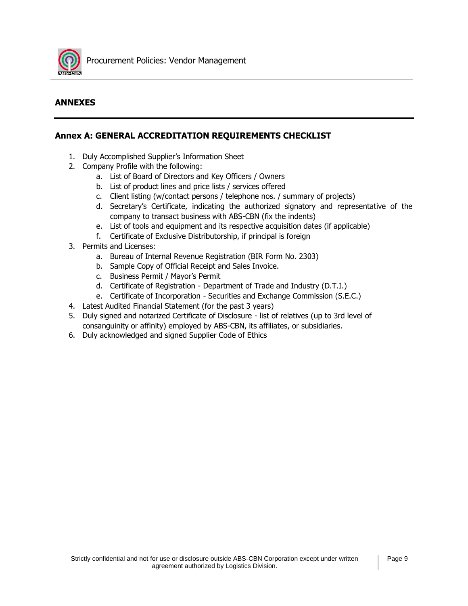

## **ANNEXES**

## **Annex A: GENERAL ACCREDITATION REQUIREMENTS CHECKLIST**

- 1. Duly Accomplished Supplier's Information Sheet
- 2. Company Profile with the following:
	- a. List of Board of Directors and Key Officers / Owners
	- b. List of product lines and price lists / services offered
	- c. Client listing (w/contact persons / telephone nos. / summary of projects)
	- d. Secretary's Certificate, indicating the authorized signatory and representative of the company to transact business with ABS-CBN (fix the indents)
	- e. List of tools and equipment and its respective acquisition dates (if applicable)
	- f. Certificate of Exclusive Distributorship, if principal is foreign
- 3. Permits and Licenses:
	- a. Bureau of Internal Revenue Registration (BIR Form No. 2303)
	- b. Sample Copy of Official Receipt and Sales Invoice.
	- c. Business Permit / Mayor's Permit
	- d. Certificate of Registration Department of Trade and Industry (D.T.I.)
	- e. Certificate of Incorporation Securities and Exchange Commission (S.E.C.)
- 4. Latest Audited Financial Statement (for the past 3 years)
- 5. Duly signed and notarized Certificate of Disclosure list of relatives (up to 3rd level of consanguinity or affinity) employed by ABS-CBN, its affiliates, or subsidiaries.
- 6. Duly acknowledged and signed Supplier Code of Ethics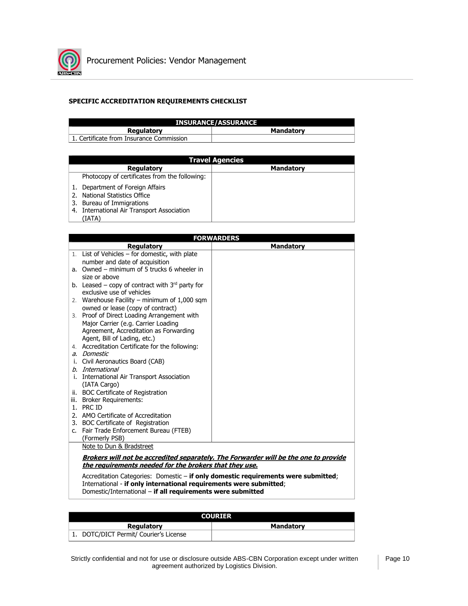

## **SPECIFIC ACCREDITATION REQUIREMENTS CHECKLIST**

| <b>INSURANCE/ASSURANCE</b>               |                  |  |
|------------------------------------------|------------------|--|
| <b>Regulatory</b>                        | <b>Mandatory</b> |  |
| 1. Certificate from Insurance Commission |                  |  |

| <b>Travel Agencies</b>                                                                                                                                 |                  |  |  |
|--------------------------------------------------------------------------------------------------------------------------------------------------------|------------------|--|--|
| <b>Regulatory</b>                                                                                                                                      | <b>Mandatory</b> |  |  |
| Photocopy of certificates from the following:                                                                                                          |                  |  |  |
| 1. Department of Foreign Affairs<br>2. National Statistics Office<br>3. Bureau of Immigrations<br>4. International Air Transport Association<br>(IATA) |                  |  |  |

|    | <b>FORWARDERS</b>                                                                  |                                                                                     |  |  |
|----|------------------------------------------------------------------------------------|-------------------------------------------------------------------------------------|--|--|
|    | <b>Regulatory</b>                                                                  | <b>Mandatory</b>                                                                    |  |  |
|    | 1. List of Vehicles - for domestic, with plate                                     |                                                                                     |  |  |
|    | number and date of acquisition                                                     |                                                                                     |  |  |
|    | a. Owned - minimum of 5 trucks 6 wheeler in                                        |                                                                                     |  |  |
|    | size or above                                                                      |                                                                                     |  |  |
|    | b. Leased – copy of contract with $3^{rd}$ party for                               |                                                                                     |  |  |
|    | exclusive use of vehicles                                                          |                                                                                     |  |  |
|    | 2. Warehouse Facility - minimum of 1,000 sqm                                       |                                                                                     |  |  |
|    | owned or lease (copy of contract)                                                  |                                                                                     |  |  |
|    | 3. Proof of Direct Loading Arrangement with                                        |                                                                                     |  |  |
|    | Major Carrier (e.g. Carrier Loading                                                |                                                                                     |  |  |
|    | Agreement, Accreditation as Forwarding<br>Agent, Bill of Lading, etc.)             |                                                                                     |  |  |
|    | 4. Accreditation Certificate for the following:                                    |                                                                                     |  |  |
|    | a. Domestic                                                                        |                                                                                     |  |  |
|    | i. Civil Aeronautics Board (CAB)                                                   |                                                                                     |  |  |
|    | b. International                                                                   |                                                                                     |  |  |
|    | i. International Air Transport Association                                         |                                                                                     |  |  |
|    | (IATA Cargo)                                                                       |                                                                                     |  |  |
|    | ii. BOC Certificate of Registration                                                |                                                                                     |  |  |
|    | iii. Broker Requirements:                                                          |                                                                                     |  |  |
|    | 1. PRC ID                                                                          |                                                                                     |  |  |
|    | 2. AMO Certificate of Accreditation                                                |                                                                                     |  |  |
|    | 3. BOC Certificate of Registration                                                 |                                                                                     |  |  |
| c. | Fair Trade Enforcement Bureau (FTEB)                                               |                                                                                     |  |  |
|    | (Formerly PSB)                                                                     |                                                                                     |  |  |
|    | Note to Dun & Bradstreet                                                           |                                                                                     |  |  |
|    |                                                                                    | Brokers will not be accredited separately. The Forwarder will be the one to provide |  |  |
|    | the requirements needed for the brokers that they use.                             |                                                                                     |  |  |
|    | Accreditation Categories: Domestic - if only domestic requirements were submitted; |                                                                                     |  |  |
|    | International - if only international requirements were submitted;                 |                                                                                     |  |  |
|    | Domestic/International - if all requirements were submitted                        |                                                                                     |  |  |

| <b>COURTER</b>                         |                  |
|----------------------------------------|------------------|
| <b>Regulatory</b>                      | <b>Mandatory</b> |
| 1. DOTC/DICT Permit/ Courier's License |                  |

Strictly confidential and not for use or disclosure outside ABS-CBN Corporation except under written agreement authorized by Logistics Division.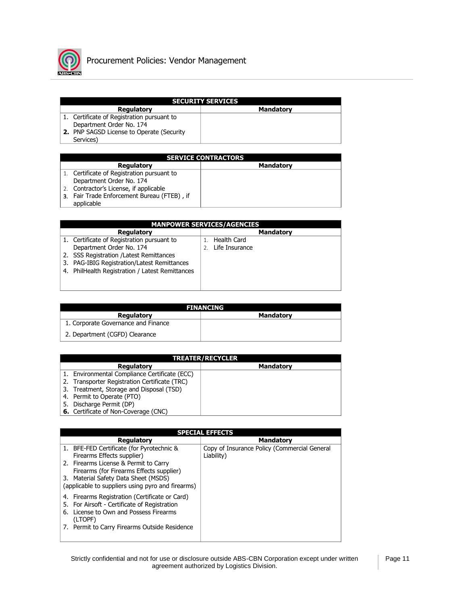

| <b>SECURITY SERVICES</b>                         |           |  |
|--------------------------------------------------|-----------|--|
| <b>Regulatory</b>                                | Mandatory |  |
| 1. Certificate of Registration pursuant to       |           |  |
| Department Order No. 174                         |           |  |
| <b>2.</b> PNP SAGSD License to Operate (Security |           |  |
| Services)                                        |           |  |

| <b>SERVICE CONTRACTORS</b>                  |                  |  |
|---------------------------------------------|------------------|--|
| <b>Regulatory</b>                           | <b>Mandatory</b> |  |
| 1. Certificate of Registration pursuant to  |                  |  |
| Department Order No. 174                    |                  |  |
| 2. Contractor's License, if applicable      |                  |  |
| 3. Fair Trade Enforcement Bureau (FTEB), if |                  |  |
| applicable                                  |                  |  |

|    | <b>MANPOWER SERVICES/AGENCIES</b>               |  |                |                  |  |  |
|----|-------------------------------------------------|--|----------------|------------------|--|--|
|    | <b>Regulatory</b>                               |  |                | <b>Mandatory</b> |  |  |
|    | 1. Certificate of Registration pursuant to      |  | Health Card    |                  |  |  |
|    | Department Order No. 174                        |  | Life Insurance |                  |  |  |
|    | 2. SSS Registration / Latest Remittances        |  |                |                  |  |  |
| 3. | PAG-IBIG Registration/Latest Remittances        |  |                |                  |  |  |
|    | 4. PhilHealth Registration / Latest Remittances |  |                |                  |  |  |
|    |                                                 |  |                |                  |  |  |
|    |                                                 |  |                |                  |  |  |

| <b>FINANCING</b>                    |                  |  |  |
|-------------------------------------|------------------|--|--|
| <b>Regulatory</b>                   | <b>Mandatory</b> |  |  |
| 1. Corporate Governance and Finance |                  |  |  |
| 2. Department (CGFD) Clearance      |                  |  |  |

|    |                                               | <b>TREATER/RECYCLER</b> |
|----|-----------------------------------------------|-------------------------|
|    | <b>Regulatory</b>                             | <b>Mandatory</b>        |
|    | 1. Environmental Compliance Certificate (ECC) |                         |
|    | 2. Transporter Registration Certificate (TRC) |                         |
|    | 3. Treatment, Storage and Disposal (TSD)      |                         |
|    | 4. Permit to Operate (PTO)                    |                         |
| 5. | Discharge Permit (DP)                         |                         |
|    | <b>6.</b> Certificate of Non-Coverage (CNC)   |                         |

| <b>SPECIAL EFFECTS</b> |                                                   |                                              |  |
|------------------------|---------------------------------------------------|----------------------------------------------|--|
|                        | <b>Regulatory</b>                                 | <b>Mandatory</b>                             |  |
|                        | 1. BFE-FED Certificate (for Pyrotechnic &         | Copy of Insurance Policy (Commercial General |  |
|                        | Firearms Effects supplier)                        | Liability)                                   |  |
|                        | 2. Firearms License & Permit to Carry             |                                              |  |
|                        | Firearms (for Firearms Effects supplier)          |                                              |  |
|                        | 3. Material Safety Data Sheet (MSDS)              |                                              |  |
|                        | (applicable to suppliers using pyro and firearms) |                                              |  |
|                        | 4. Firearms Registration (Certificate or Card)    |                                              |  |
|                        | 5. For Airsoft - Certificate of Registration      |                                              |  |
|                        | 6. License to Own and Possess Firearms            |                                              |  |
|                        | (LTOPF)                                           |                                              |  |
|                        | 7. Permit to Carry Firearms Outside Residence     |                                              |  |
|                        |                                                   |                                              |  |
|                        |                                                   |                                              |  |

Strictly confidential and not for use or disclosure outside ABS-CBN Corporation except under written agreement authorized by Logistics Division.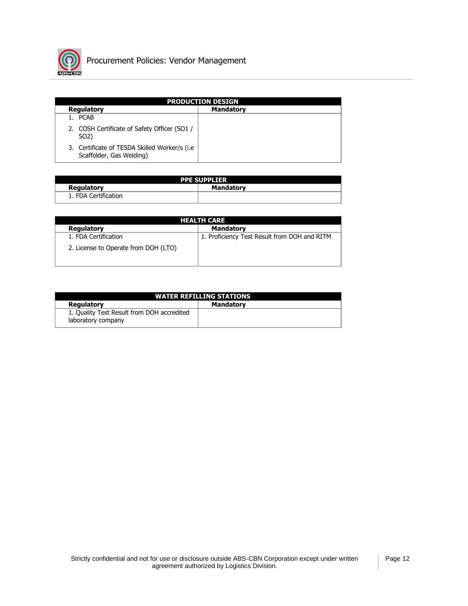

| <b>PRODUCTION DESIGN</b>                                                   |                  |  |  |  |
|----------------------------------------------------------------------------|------------------|--|--|--|
| <b>Regulatory</b>                                                          | <b>Mandatory</b> |  |  |  |
| 1. PCAB                                                                    |                  |  |  |  |
| 2. COSH Certificate of Safety Officer (SO1 /<br>SO <sub>2</sub> )          |                  |  |  |  |
| 3. Certificate of TESDA Skilled Worker/s (i.e.<br>Scaffolder, Gas Welding) |                  |  |  |  |

| <b>PPE SUPPLIER</b>  |                  |  |
|----------------------|------------------|--|
| Regulatory           | <b>Mandatory</b> |  |
| 1. FDA Certification |                  |  |

| <b>HEALTH CARE</b>                   |                                              |  |  |
|--------------------------------------|----------------------------------------------|--|--|
| Regulatory                           | <b>Mandatory</b>                             |  |  |
| 1. FDA Certification                 | 1. Proficiency Test Result from DOH and RITM |  |  |
| 2. License to Operate from DOH (LTO) |                                              |  |  |

| <b>WATER REFILLING STATIONS</b>                                  |                  |  |  |  |
|------------------------------------------------------------------|------------------|--|--|--|
| Regulatory                                                       | <b>Mandatory</b> |  |  |  |
| 1. Quality Test Result from DOH accredited<br>laboratory company |                  |  |  |  |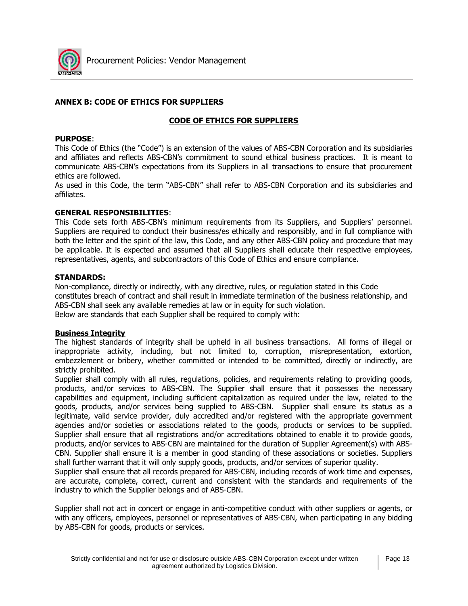

## **ANNEX B: CODE OF ETHICS FOR SUPPLIERS**

## **CODE OF ETHICS FOR SUPPLIERS**

### **PURPOSE**:

This Code of Ethics (the "Code") is an extension of the values of ABS-CBN Corporation and its subsidiaries and affiliates and reflects ABS-CBN's commitment to sound ethical business practices. It is meant to communicate ABS-CBN's expectations from its Suppliers in all transactions to ensure that procurement ethics are followed.

As used in this Code, the term "ABS-CBN" shall refer to ABS-CBN Corporation and its subsidiaries and affiliates.

## **GENERAL RESPONSIBILITIES**:

This Code sets forth ABS-CBN's minimum requirements from its Suppliers, and Suppliers' personnel. Suppliers are required to conduct their business/es ethically and responsibly, and in full compliance with both the letter and the spirit of the law, this Code, and any other ABS-CBN policy and procedure that may be applicable. It is expected and assumed that all Suppliers shall educate their respective employees, representatives, agents, and subcontractors of this Code of Ethics and ensure compliance.

## **STANDARDS:**

Non-compliance, directly or indirectly, with any directive, rules, or regulation stated in this Code constitutes breach of contract and shall result in immediate termination of the business relationship, and ABS-CBN shall seek any available remedies at law or in equity for such violation. Below are standards that each Supplier shall be required to comply with:

### **Business Integrity**

The highest standards of integrity shall be upheld in all business transactions. All forms of illegal or inappropriate activity, including, but not limited to, corruption, misrepresentation, extortion, embezzlement or bribery, whether committed or intended to be committed, directly or indirectly, are strictly prohibited.

Supplier shall comply with all rules, regulations, policies, and requirements relating to providing goods, products, and/or services to ABS-CBN. The Supplier shall ensure that it possesses the necessary capabilities and equipment, including sufficient capitalization as required under the law, related to the goods, products, and/or services being supplied to ABS-CBN. Supplier shall ensure its status as a legitimate, valid service provider, duly accredited and/or registered with the appropriate government agencies and/or societies or associations related to the goods, products or services to be supplied. Supplier shall ensure that all registrations and/or accreditations obtained to enable it to provide goods, products, and/or services to ABS-CBN are maintained for the duration of Supplier Agreement(s) with ABS-CBN. Supplier shall ensure it is a member in good standing of these associations or societies. Suppliers shall further warrant that it will only supply goods, products, and/or services of superior quality.

Supplier shall ensure that all records prepared for ABS-CBN, including records of work time and expenses, are accurate, complete, correct, current and consistent with the standards and requirements of the industry to which the Supplier belongs and of ABS-CBN.

Supplier shall not act in concert or engage in anti-competitive conduct with other suppliers or agents, or with any officers, employees, personnel or representatives of ABS-CBN, when participating in any bidding by ABS-CBN for goods, products or services.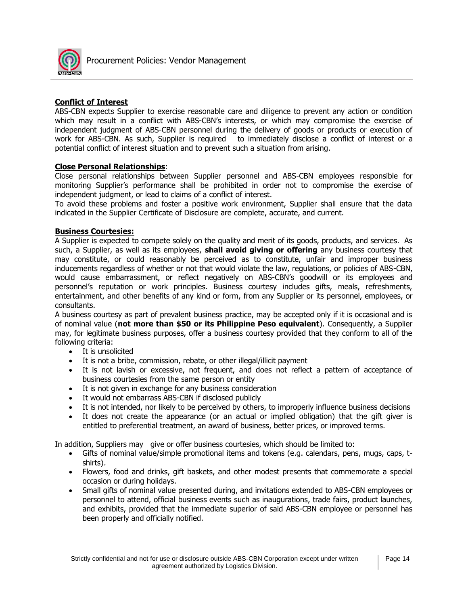

## **Conflict of Interest**

ABS-CBN expects Supplier to exercise reasonable care and diligence to prevent any action or condition which may result in a conflict with ABS-CBN's interests, or which may compromise the exercise of independent judgment of ABS-CBN personnel during the delivery of goods or products or execution of work for ABS-CBN. As such, Supplier is required to immediately disclose a conflict of interest or a potential conflict of interest situation and to prevent such a situation from arising.

## **Close Personal Relationships**:

Close personal relationships between Supplier personnel and ABS-CBN employees responsible for monitoring Supplier's performance shall be prohibited in order not to compromise the exercise of independent judgment, or lead to claims of a conflict of interest.

To avoid these problems and foster a positive work environment, Supplier shall ensure that the data indicated in the Supplier Certificate of Disclosure are complete, accurate, and current.

## **Business Courtesies:**

A Supplier is expected to compete solely on the quality and merit of its goods, products, and services. As such, a Supplier, as well as its employees, **shall avoid giving or offering** any business courtesy that may constitute, or could reasonably be perceived as to constitute, unfair and improper business inducements regardless of whether or not that would violate the law, regulations, or policies of ABS-CBN, would cause embarrassment, or reflect negatively on ABS-CBN's goodwill or its employees and personnel's reputation or work principles. Business courtesy includes gifts, meals, refreshments, entertainment, and other benefits of any kind or form, from any Supplier or its personnel, employees, or consultants.

A business courtesy as part of prevalent business practice, may be accepted only if it is occasional and is of nominal value (**not more than \$50 or its Philippine Peso equivalent**). Consequently, a Supplier may, for legitimate business purposes, offer a business courtesy provided that they conform to all of the following criteria:

- It is unsolicited
- It is not a bribe, commission, rebate, or other illegal/illicit payment
- It is not lavish or excessive, not frequent, and does not reflect a pattern of acceptance of business courtesies from the same person or entity
- It is not given in exchange for any business consideration
- It would not embarrass ABS-CBN if disclosed publicly
- It is not intended, nor likely to be perceived by others, to improperly influence business decisions
- It does not create the appearance (or an actual or implied obligation) that the gift giver is entitled to preferential treatment, an award of business, better prices, or improved terms.

In addition, Suppliers may give or offer business courtesies, which should be limited to:

- Gifts of nominal value/simple promotional items and tokens (e.g. calendars, pens, mugs, caps, tshirts).
- Flowers, food and drinks, gift baskets, and other modest presents that commemorate a special occasion or during holidays.
- Small gifts of nominal value presented during, and invitations extended to ABS-CBN employees or personnel to attend, official business events such as inaugurations, trade fairs, product launches, and exhibits, provided that the immediate superior of said ABS-CBN employee or personnel has been properly and officially notified.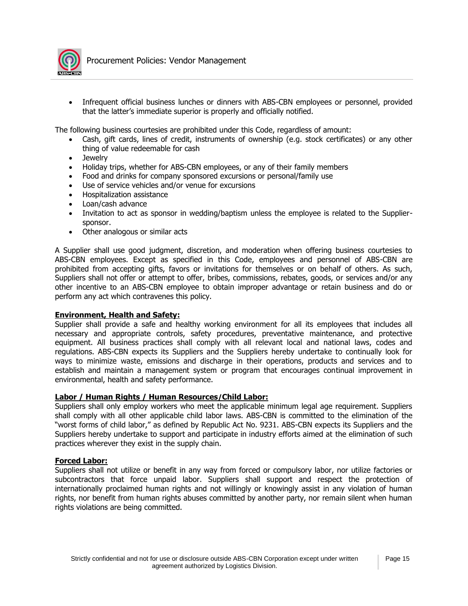

• Infrequent official business lunches or dinners with ABS-CBN employees or personnel, provided that the latter's immediate superior is properly and officially notified.

The following business courtesies are prohibited under this Code, regardless of amount:

- Cash, gift cards, lines of credit, instruments of ownership (e.g. stock certificates) or any other thing of value redeemable for cash
- Jewelry
- Holiday trips, whether for ABS-CBN employees, or any of their family members
- Food and drinks for company sponsored excursions or personal/family use
- Use of service vehicles and/or venue for excursions
- Hospitalization assistance
- Loan/cash advance
- Invitation to act as sponsor in wedding/baptism unless the employee is related to the Suppliersponsor.
- Other analogous or similar acts

A Supplier shall use good judgment, discretion, and moderation when offering business courtesies to ABS-CBN employees. Except as specified in this Code, employees and personnel of ABS-CBN are prohibited from accepting gifts, favors or invitations for themselves or on behalf of others. As such, Suppliers shall not offer or attempt to offer, bribes, commissions, rebates, goods, or services and/or any other incentive to an ABS-CBN employee to obtain improper advantage or retain business and do or perform any act which contravenes this policy.

### **Environment, Health and Safety:**

Supplier shall provide a safe and healthy working environment for all its employees that includes all necessary and appropriate controls, safety procedures, preventative maintenance, and protective equipment. All business practices shall comply with all relevant local and national laws, codes and regulations. ABS-CBN expects its Suppliers and the Suppliers hereby undertake to continually look for ways to minimize waste, emissions and discharge in their operations, products and services and to establish and maintain a management system or program that encourages continual improvement in environmental, health and safety performance.

### **Labor / Human Rights / Human Resources/Child Labor:**

Suppliers shall only employ workers who meet the applicable minimum legal age requirement. Suppliers shall comply with all other applicable child labor laws. ABS-CBN is committed to the elimination of the "worst forms of child labor," as defined by Republic Act No. 9231. ABS-CBN expects its Suppliers and the Suppliers hereby undertake to support and participate in industry efforts aimed at the elimination of such practices wherever they exist in the supply chain.

### **Forced Labor:**

Suppliers shall not utilize or benefit in any way from forced or compulsory labor, nor utilize factories or subcontractors that force unpaid labor. Suppliers shall support and respect the protection of internationally proclaimed human rights and not willingly or knowingly assist in any violation of human rights, nor benefit from human rights abuses committed by another party, nor remain silent when human rights violations are being committed.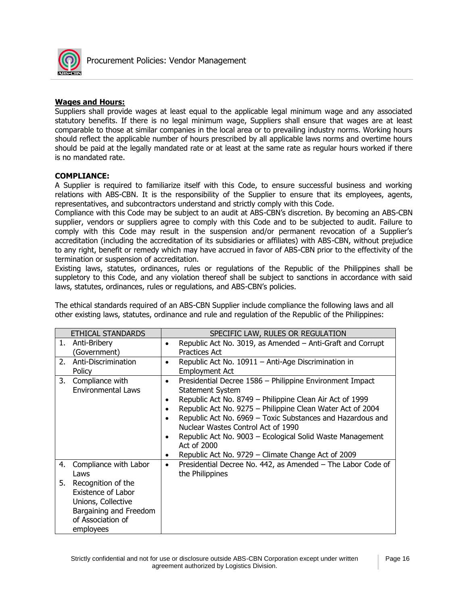

## **Wages and Hours:**

Suppliers shall provide wages at least equal to the applicable legal minimum wage and any associated statutory benefits. If there is no legal minimum wage, Suppliers shall ensure that wages are at least comparable to those at similar companies in the local area or to prevailing industry norms. Working hours should reflect the applicable number of hours prescribed by all applicable laws norms and overtime hours should be paid at the legally mandated rate or at least at the same rate as regular hours worked if there is no mandated rate.

## **COMPLIANCE:**

A Supplier is required to familiarize itself with this Code, to ensure successful business and working relations with ABS-CBN. It is the responsibility of the Supplier to ensure that its employees, agents, representatives, and subcontractors understand and strictly comply with this Code.

Compliance with this Code may be subject to an audit at ABS-CBN's discretion. By becoming an ABS-CBN supplier, vendors or suppliers agree to comply with this Code and to be subjected to audit. Failure to comply with this Code may result in the suspension and/or permanent revocation of a Supplier's accreditation (including the accreditation of its subsidiaries or affiliates) with ABS-CBN, without prejudice to any right, benefit or remedy which may have accrued in favor of ABS-CBN prior to the effectivity of the termination or suspension of accreditation.

Existing laws, statutes, ordinances, rules or regulations of the Republic of the Philippines shall be suppletory to this Code, and any violation thereof shall be subject to sanctions in accordance with said laws, statutes, ordinances, rules or regulations, and ABS-CBN's policies.

The ethical standards required of an ABS-CBN Supplier include compliance the following laws and all other existing laws, statutes, ordinance and rule and regulation of the Republic of the Philippines:

|    | ETHICAL STANDARDS                                                                                                                 |                                     | SPECIFIC LAW, RULES OR REGULATION                                                                                                                                                                                                                                                                                                                                                                                                                   |
|----|-----------------------------------------------------------------------------------------------------------------------------------|-------------------------------------|-----------------------------------------------------------------------------------------------------------------------------------------------------------------------------------------------------------------------------------------------------------------------------------------------------------------------------------------------------------------------------------------------------------------------------------------------------|
|    | 1. Anti-Bribery<br>Government)                                                                                                    | $\bullet$                           | Republic Act No. 3019, as Amended - Anti-Graft and Corrupt<br>Practices Act                                                                                                                                                                                                                                                                                                                                                                         |
| 2. | Anti-Discrimination<br>Policy                                                                                                     | $\bullet$                           | Republic Act No. 10911 - Anti-Age Discrimination in<br><b>Employment Act</b>                                                                                                                                                                                                                                                                                                                                                                        |
| 3. | Compliance with<br><b>Environmental Laws</b>                                                                                      | $\bullet$<br>$\bullet$<br>$\bullet$ | Presidential Decree 1586 - Philippine Environment Impact<br><b>Statement System</b><br>Republic Act No. 8749 - Philippine Clean Air Act of 1999<br>Republic Act No. 9275 - Philippine Clean Water Act of 2004<br>Republic Act No. 6969 - Toxic Substances and Hazardous and<br>Nuclear Wastes Control Act of 1990<br>Republic Act No. 9003 - Ecological Solid Waste Management<br>Act of 2000<br>Republic Act No. 9729 - Climate Change Act of 2009 |
| 4. | Compliance with Labor<br>Laws                                                                                                     | $\bullet$                           | Presidential Decree No. 442, as Amended - The Labor Code of<br>the Philippines                                                                                                                                                                                                                                                                                                                                                                      |
| 5. | Recognition of the<br><b>Existence of Labor</b><br>Unions, Collective<br>Bargaining and Freedom<br>of Association of<br>employees |                                     |                                                                                                                                                                                                                                                                                                                                                                                                                                                     |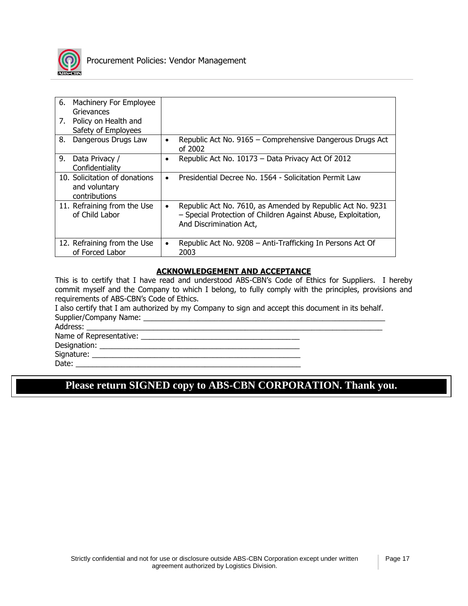

| 6.<br>7. | Machinery For Employee<br>Grievances<br>Policy on Health and<br>Safety of Employees |           |                                                                                                                                                        |
|----------|-------------------------------------------------------------------------------------|-----------|--------------------------------------------------------------------------------------------------------------------------------------------------------|
| 8.       | Dangerous Drugs Law                                                                 | $\bullet$ | Republic Act No. 9165 - Comprehensive Dangerous Drugs Act<br>of 2002                                                                                   |
| 9.       | Data Privacy /<br>Confidentiality                                                   |           | Republic Act No. 10173 - Data Privacy Act Of 2012                                                                                                      |
|          | 10. Solicitation of donations<br>and voluntary<br>contributions                     | $\bullet$ | Presidential Decree No. 1564 - Solicitation Permit Law                                                                                                 |
|          | 11. Refraining from the Use<br>of Child Labor                                       |           | Republic Act No. 7610, as Amended by Republic Act No. 9231<br>- Special Protection of Children Against Abuse, Exploitation,<br>And Discrimination Act, |
|          | 12. Refraining from the Use<br>of Forced Labor                                      | $\bullet$ | Republic Act No. 9208 - Anti-Trafficking In Persons Act Of<br>2003                                                                                     |

## **ACKNOWLEDGEMENT AND ACCEPTANCE**

This is to certify that I have read and understood ABS-CBN's Code of Ethics for Suppliers. I hereby commit myself and the Company to which I belong, to fully comply with the principles, provisions and requirements of ABS-CBN's Code of Ethics.

I also certify that I am authorized by my Company to sign and accept this document in its behalf. Supplier/Company Name: \_\_\_\_\_\_\_\_\_\_\_\_\_\_\_\_\_\_\_\_\_\_\_\_\_\_\_\_\_\_\_\_\_\_\_\_\_\_\_\_\_\_\_\_\_\_\_\_\_\_\_\_\_\_\_\_\_\_

Address:

Name of Representative: \_\_\_\_\_\_\_\_\_\_\_\_\_\_\_\_\_\_\_\_\_\_\_\_\_\_\_\_\_\_\_\_\_\_\_\_\_\_

Designation: \_\_\_\_\_\_\_\_\_\_\_\_\_\_\_\_\_\_\_\_\_\_\_\_\_\_\_\_\_\_\_\_\_\_\_\_\_\_\_\_\_\_\_\_\_\_\_\_

Signature:

Date:  $\frac{1}{\sqrt{1-\frac{1}{2}}}\cdot\frac{1}{\sqrt{1-\frac{1}{2}}}\cdot\frac{1}{\sqrt{1-\frac{1}{2}}}\cdot\frac{1}{\sqrt{1-\frac{1}{2}}}\cdot\frac{1}{\sqrt{1-\frac{1}{2}}}\cdot\frac{1}{\sqrt{1-\frac{1}{2}}}\cdot\frac{1}{\sqrt{1-\frac{1}{2}}}\cdot\frac{1}{\sqrt{1-\frac{1}{2}}}\cdot\frac{1}{\sqrt{1-\frac{1}{2}}}\cdot\frac{1}{\sqrt{1-\frac{1}{2}}}\cdot\frac{1}{\sqrt{1-\frac{1}{2}}}\cdot\frac{1}{\sqrt{1-\frac{1}{2}}$ 

## **Please return SIGNED copy to ABS-CBN CORPORATION. Thank you.**